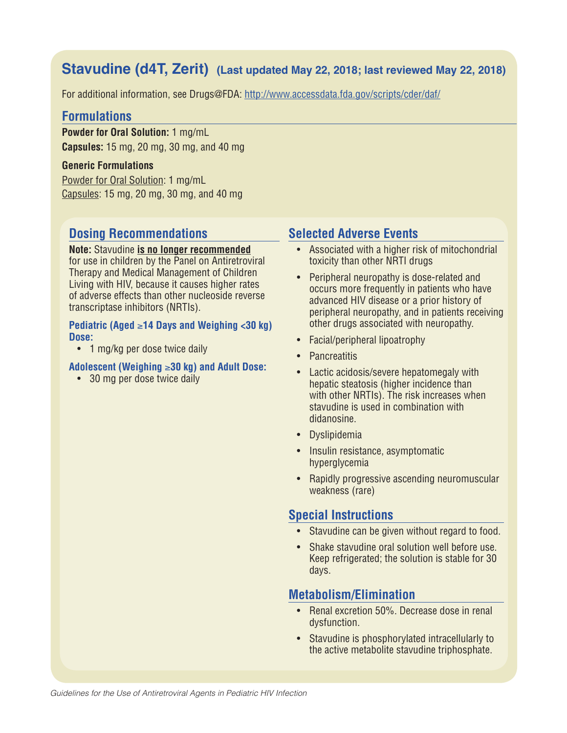# **Stavudine (d4T, Zerit) (Last updated May 22, 2018; last reviewed May 22, 2018)**

For additional information, see Drugs@FDA: http://www.accessdata.fda.gov/scripts/cder/daf/

### **Formulations**

**Powder for Oral Solution:** 1 mg/mL **Capsules:** 15 mg, 20 mg, 30 mg, and 40 mg

#### **Generic Formulations**

Powder for Oral Solution: 1 mg/mL Capsules: 15 mg, 20 mg, 30 mg, and 40 mg

# **Dosing Recommendations**

**Note:** Stavudine **is no longer recommended** for use in children by the Panel on Antiretroviral Therapy and Medical Management of Children Living with HIV, because it causes higher rates of adverse effects than other nucleoside reverse transcriptase inhibitors (NRTIs).

#### **Pediatric (Aged** ≥**14 Days and Weighing <30 kg) Dose:**

• 1 mg/kg per dose twice daily

#### **Adolescent (Weighing** ≥**30 kg) and Adult Dose:**

• 30 mg per dose twice daily

# **Selected Adverse Events**

- Associated with a higher risk of mitochondrial toxicity than other NRTI drugs
- Peripheral neuropathy is dose-related and occurs more frequently in patients who have advanced HIV disease or a prior history of peripheral neuropathy, and in patients receiving other drugs associated with neuropathy.
- Facial/peripheral lipoatrophy
- Pancreatitis
- Lactic acidosis/severe hepatomegaly with hepatic steatosis (higher incidence than with other NRTIs). The risk increases when stavudine is used in combination with didanosine.
- Dyslipidemia
- Insulin resistance, asymptomatic hyperglycemia
- Rapidly progressive ascending neuromuscular weakness (rare)

## **Special Instructions**

- Stavudine can be given without regard to food.
- Shake stavudine oral solution well before use. Keep refrigerated; the solution is stable for 30 days.

## **Metabolism/Elimination**

- Renal excretion 50%. Decrease dose in renal dysfunction.
- Stavudine is phosphorylated intracellularly to the active metabolite stavudine triphosphate.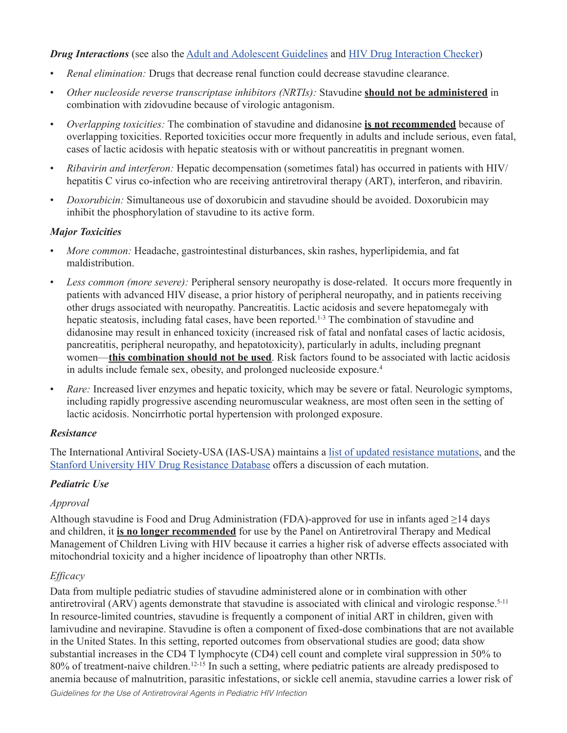#### *Drug Interactions* (see also the Adult and Adolescent Guidelines and HIV Drug Interaction Checker)

- *Renal elimination:* Drugs that decrease renal function could decrease stavudine clearance.
- *Other nucleoside reverse transcriptase inhibitors (NRTIs):* Stavudine **should not be administered** in combination with zidovudine because of virologic antagonism.
- *Overlapping toxicities:* The combination of stavudine and didanosine **is not recommended** because of overlapping toxicities. Reported toxicities occur more frequently in adults and include serious, even fatal, cases of lactic acidosis with hepatic steatosis with or without pancreatitis in pregnant women.
- *Ribavirin and interferon:* Hepatic decompensation (sometimes fatal) has occurred in patients with HIV/ hepatitis C virus co-infection who are receiving antiretroviral therapy (ART), interferon, and ribavirin.
- *Doxorubicin:* Simultaneous use of doxorubicin and stavudine should be avoided. Doxorubicin may inhibit the phosphorylation of stavudine to its active form.

#### *Major Toxicities*

- *More common:* Headache, gastrointestinal disturbances, skin rashes, hyperlipidemia, and fat maldistribution.
- *Less common (more severe):* Peripheral sensory neuropathy is dose-related. It occurs more frequently in patients with advanced HIV disease, a prior history of peripheral neuropathy, and in patients receiving other drugs associated with neuropathy. Pancreatitis. Lactic acidosis and severe hepatomegaly with hepatic steatosis, including fatal cases, have been reported.<sup>1-3</sup> The combination of stavudine and didanosine may result in enhanced toxicity (increased risk of fatal and nonfatal cases of lactic acidosis, pancreatitis, peripheral neuropathy, and hepatotoxicity), particularly in adults, including pregnant women—**this combination should not be used**. Risk factors found to be associated with lactic acidosis in adults include female sex, obesity, and prolonged nucleoside exposure.4
- *Rare:* Increased liver enzymes and hepatic toxicity, which may be severe or fatal. Neurologic symptoms, including rapidly progressive ascending neuromuscular weakness, are most often seen in the setting of lactic acidosis. Noncirrhotic portal hypertension with prolonged exposure.

### *Resistance*

The International Antiviral Society-USA (IAS-USA) maintains a list of updated resistance mutations, and the Stanford University HIV Drug Resistance Database offers a discussion of each mutation.

### *Pediatric Use*

### *Approval*

Although stavudine is Food and Drug Administration (FDA)-approved for use in infants aged ≥14 days and children, it **is no longer recommended** for use by the Panel on Antiretroviral Therapy and Medical Management of Children Living with HIV because it carries a higher risk of adverse effects associated with mitochondrial toxicity and a higher incidence of lipoatrophy than other NRTIs.

### *Efficacy*

Data from multiple pediatric studies of stavudine administered alone or in combination with other antiretroviral (ARV) agents demonstrate that stavudine is associated with clinical and virologic response.5-11 In resource-limited countries, stavudine is frequently a component of initial ART in children, given with lamivudine and nevirapine. Stavudine is often a component of fixed-dose combinations that are not available in the United States. In this setting, reported outcomes from observational studies are good; data show substantial increases in the CD4 T lymphocyte (CD4) cell count and complete viral suppression in 50% to 80% of treatment-naive children.<sup>12-15</sup> In such a setting, where pediatric patients are already predisposed to anemia because of malnutrition, parasitic infestations, or sickle cell anemia, stavudine carries a lower risk of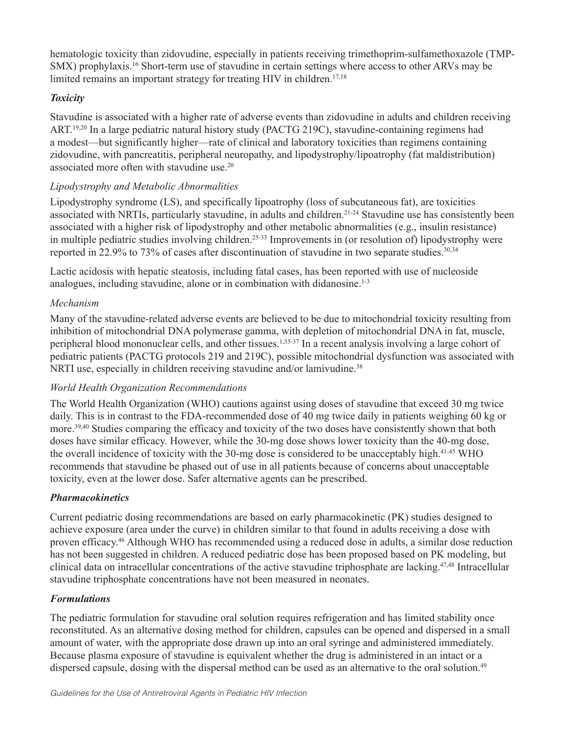hematologic toxicity than zidovudine, especially in patients receiving trimethoprim-sulfamethoxazole (TMP-SMX) prophylaxis.16 Short-term use of stavudine in certain settings where access to other ARVs may be limited remains an important strategy for treating HIV in children.<sup>17,18</sup>

### *Toxicity*

Stavudine is associated with a higher rate of adverse events than zidovudine in adults and children receiving ART.19,20 In a large pediatric natural history study (PACTG 219C), stavudine-containing regimens had a modest—but significantly higher—rate of clinical and laboratory toxicities than regimens containing zidovudine, with pancreatitis, peripheral neuropathy, and lipodystrophy/lipoatrophy (fat maldistribution) associated more often with stavudine use.20

### *Lipodystrophy and Metabolic Abnormalities*

Lipodystrophy syndrome (LS), and specifically lipoatrophy (loss of subcutaneous fat), are toxicities associated with NRTIs, particularly stavudine, in adults and children.<sup>21-24</sup> Stavudine use has consistently been associated with a higher risk of lipodystrophy and other metabolic abnormalities (e.g., insulin resistance) in multiple pediatric studies involving children.<sup>25-33</sup> Improvements in (or resolution of) lipodystrophy were reported in 22.9% to 73% of cases after discontinuation of stavudine in two separate studies.<sup>30,34</sup>

Lactic acidosis with hepatic steatosis, including fatal cases, has been reported with use of nucleoside analogues, including stavudine, alone or in combination with didanosine. $1-3$ 

### *Mechanism*

Many of the stavudine-related adverse events are believed to be due to mitochondrial toxicity resulting from inhibition of mitochondrial DNA polymerase gamma, with depletion of mitochondrial DNA in fat, muscle, peripheral blood mononuclear cells, and other tissues.1,35-37 In a recent analysis involving a large cohort of pediatric patients (PACTG protocols 219 and 219C), possible mitochondrial dysfunction was associated with NRTI use, especially in children receiving stavudine and/or lamivudine.<sup>38</sup>

### *World Health Organization Recommendations*

The World Health Organization (WHO) cautions against using doses of stavudine that exceed 30 mg twice daily. This is in contrast to the FDA-recommended dose of 40 mg twice daily in patients weighing 60 kg or more.39,40 Studies comparing the efficacy and toxicity of the two doses have consistently shown that both doses have similar efficacy. However, while the 30-mg dose shows lower toxicity than the 40-mg dose, the overall incidence of toxicity with the 30-mg dose is considered to be unacceptably high.41-45 WHO recommends that stavudine be phased out of use in all patients because of concerns about unacceptable toxicity, even at the lower dose. Safer alternative agents can be prescribed.

### *Pharmacokinetics*

Current pediatric dosing recommendations are based on early pharmacokinetic (PK) studies designed to achieve exposure (area under the curve) in children similar to that found in adults receiving a dose with proven efficacy.46 Although WHO has recommended using a reduced dose in adults, a similar dose reduction has not been suggested in children. A reduced pediatric dose has been proposed based on PK modeling, but clinical data on intracellular concentrations of the active stavudine triphosphate are lacking.47,48 Intracellular stavudine triphosphate concentrations have not been measured in neonates.

### *Formulations*

The pediatric formulation for stavudine oral solution requires refrigeration and has limited stability once reconstituted. As an alternative dosing method for children, capsules can be opened and dispersed in a small amount of water, with the appropriate dose drawn up into an oral syringe and administered immediately. Because plasma exposure of stavudine is equivalent whether the drug is administered in an intact or a dispersed capsule, dosing with the dispersal method can be used as an alternative to the oral solution.<sup>49</sup>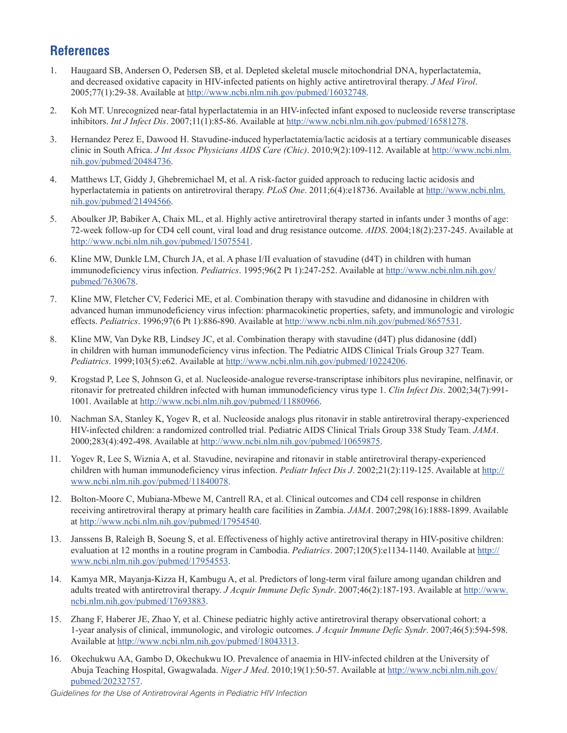# **References**

- 1. Haugaard SB, Andersen O, Pedersen SB, et al. Depleted skeletal muscle mitochondrial DNA, hyperlactatemia, and decreased oxidative capacity in HIV-infected patients on highly active antiretroviral therapy. *J Med Virol*. 2005;77(1):29-38. Available at http://www.ncbi.nlm.nih.gov/pubmed/16032748.
- 2. Koh MT. Unrecognized near-fatal hyperlactatemia in an HIV-infected infant exposed to nucleoside reverse transcriptase inhibitors. *Int J Infect Dis*. 2007;11(1):85-86. Available at http://www.ncbi.nlm.nih.gov/pubmed/16581278.
- 3. Hernandez Perez E, Dawood H. Stavudine-induced hyperlactatemia/lactic acidosis at a tertiary communicable diseases clinic in South Africa. *J Int Assoc Physicians AIDS Care (Chic)*. 2010;9(2):109-112. Available at http://www.ncbi.nlm. nih.gov/pubmed/20484736.
- 4. Matthews LT, Giddy J, Ghebremichael M, et al. A risk-factor guided approach to reducing lactic acidosis and hyperlactatemia in patients on antiretroviral therapy. *PLoS One*. 2011;6(4):e18736. Available at http://www.ncbi.nlm. nih.gov/pubmed/21494566.
- 5. Aboulker JP, Babiker A, Chaix ML, et al. Highly active antiretroviral therapy started in infants under 3 months of age: 72-week follow-up for CD4 cell count, viral load and drug resistance outcome. *AIDS*. 2004;18(2):237-245. Available at http://www.ncbi.nlm.nih.gov/pubmed/15075541.
- 6. Kline MW, Dunkle LM, Church JA, et al. A phase I/II evaluation of stavudine (d4T) in children with human immunodeficiency virus infection. *Pediatrics*. 1995;96(2 Pt 1):247-252. Available at http://www.ncbi.nlm.nih.gov/ pubmed/7630678.
- 7. Kline MW, Fletcher CV, Federici ME, et al. Combination therapy with stavudine and didanosine in children with advanced human immunodeficiency virus infection: pharmacokinetic properties, safety, and immunologic and virologic effects. *Pediatrics*. 1996;97(6 Pt 1):886-890. Available at http://www.ncbi.nlm.nih.gov/pubmed/8657531.
- 8. Kline MW, Van Dyke RB, Lindsey JC, et al. Combination therapy with stavudine (d4T) plus didanosine (ddI) in children with human immunodeficiency virus infection. The Pediatric AIDS Clinical Trials Group 327 Team. *Pediatrics*. 1999;103(5):e62. Available at http://www.ncbi.nlm.nih.gov/pubmed/10224206.
- 9. Krogstad P, Lee S, Johnson G, et al. Nucleoside-analogue reverse-transcriptase inhibitors plus nevirapine, nelfinavir, or ritonavir for pretreated children infected with human immunodeficiency virus type 1. *Clin Infect Dis*. 2002;34(7):991- 1001. Available at http://www.ncbi.nlm.nih.gov/pubmed/11880966.
- 10. Nachman SA, Stanley K, Yogev R, et al. Nucleoside analogs plus ritonavir in stable antiretroviral therapy-experienced HIV-infected children: a randomized controlled trial. Pediatric AIDS Clinical Trials Group 338 Study Team. *JAMA*. 2000;283(4):492-498. Available at http://www.ncbi.nlm.nih.gov/pubmed/10659875.
- 11. Yogev R, Lee S, Wiznia A, et al. Stavudine, nevirapine and ritonavir in stable antiretroviral therapy-experienced children with human immunodeficiency virus infection. *Pediatr Infect Dis J*. 2002;21(2):119-125. Available at http:// www.ncbi.nlm.nih.gov/pubmed/11840078.
- 12. Bolton-Moore C, Mubiana-Mbewe M, Cantrell RA, et al. Clinical outcomes and CD4 cell response in children receiving antiretroviral therapy at primary health care facilities in Zambia. *JAMA*. 2007;298(16):1888-1899. Available at http://www.ncbi.nlm.nih.gov/pubmed/17954540.
- 13. Janssens B, Raleigh B, Soeung S, et al. Effectiveness of highly active antiretroviral therapy in HIV-positive children: evaluation at 12 months in a routine program in Cambodia. *Pediatrics*. 2007;120(5):e1134-1140. Available at http:// www.ncbi.nlm.nih.gov/pubmed/17954553.
- 14. Kamya MR, Mayanja-Kizza H, Kambugu A, et al. Predictors of long-term viral failure among ugandan children and adults treated with antiretroviral therapy. *J Acquir Immune Defic Syndr*. 2007;46(2):187-193. Available at http://www. ncbi.nlm.nih.gov/pubmed/17693883.
- 15. Zhang F, Haberer JE, Zhao Y, et al. Chinese pediatric highly active antiretroviral therapy observational cohort: a 1-year analysis of clinical, immunologic, and virologic outcomes. *J Acquir Immune Defic Syndr*. 2007;46(5):594-598. Available at http://www.ncbi.nlm.nih.gov/pubmed/18043313.
- 16. Okechukwu AA, Gambo D, Okechukwu IO. Prevalence of anaemia in HIV-infected children at the University of Abuja Teaching Hospital, Gwagwalada. *Niger J Med*. 2010;19(1):50-57. Available at http://www.ncbi.nlm.nih.gov/ pubmed/20232757.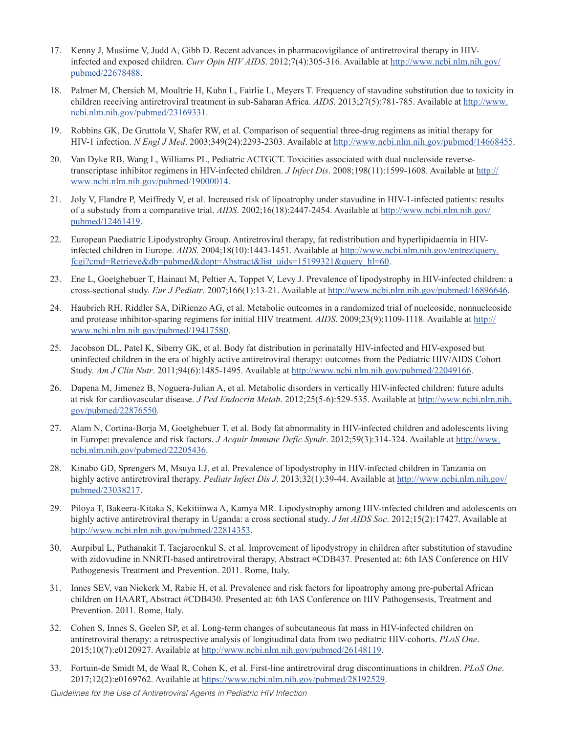- 17. Kenny J, Musiime V, Judd A, Gibb D. Recent advances in pharmacovigilance of antiretroviral therapy in HIVinfected and exposed children. *Curr Opin HIV AIDS*. 2012;7(4):305-316. Available at http://www.ncbi.nlm.nih.gov/ pubmed/22678488.
- 18. Palmer M, Chersich M, Moultrie H, Kuhn L, Fairlie L, Meyers T. Frequency of stavudine substitution due to toxicity in children receiving antiretroviral treatment in sub-Saharan Africa. *AIDS*. 2013;27(5):781-785. Available at http://www. ncbi.nlm.nih.gov/pubmed/23169331.
- 19. Robbins GK, De Gruttola V, Shafer RW, et al. Comparison of sequential three-drug regimens as initial therapy for HIV-1 infection. *N Engl J Med*. 2003;349(24):2293-2303. Available at http://www.ncbi.nlm.nih.gov/pubmed/14668455.
- 20. Van Dyke RB, Wang L, Williams PL, Pediatric ACTGCT. Toxicities associated with dual nucleoside reversetranscriptase inhibitor regimens in HIV-infected children. *J Infect Dis*. 2008;198(11):1599-1608. Available at http:// www.ncbi.nlm.nih.gov/pubmed/19000014.
- 21. Joly V, Flandre P, Meiffredy V, et al. Increased risk of lipoatrophy under stavudine in HIV-1-infected patients: results of a substudy from a comparative trial. *AIDS*. 2002;16(18):2447-2454. Available at http://www.ncbi.nlm.nih.gov/ pubmed/12461419.
- 22. European Paediatric Lipodystrophy Group. Antiretroviral therapy, fat redistribution and hyperlipidaemia in HIVinfected children in Europe. *AIDS*. 2004;18(10):1443-1451. Available at http://www.ncbi.nlm.nih.gov/entrez/query. fcgi?cmd=Retrieve&db=pubmed&dopt=Abstract&list\_uids=15199321&query\_hl=60.
- 23. Ene L, Goetghebuer T, Hainaut M, Peltier A, Toppet V, Levy J. Prevalence of lipodystrophy in HIV-infected children: a cross-sectional study. *Eur J Pediatr*. 2007;166(1):13-21. Available at http://www.ncbi.nlm.nih.gov/pubmed/16896646.
- 24. Haubrich RH, Riddler SA, DiRienzo AG, et al. Metabolic outcomes in a randomized trial of nucleoside, nonnucleoside and protease inhibitor-sparing regimens for initial HIV treatment. *AIDS*. 2009;23(9):1109-1118. Available at http:// www.ncbi.nlm.nih.gov/pubmed/19417580.
- 25. Jacobson DL, Patel K, Siberry GK, et al. Body fat distribution in perinatally HIV-infected and HIV-exposed but uninfected children in the era of highly active antiretroviral therapy: outcomes from the Pediatric HIV/AIDS Cohort Study. *Am J Clin Nutr*. 2011;94(6):1485-1495. Available at http://www.ncbi.nlm.nih.gov/pubmed/22049166.
- 26. Dapena M, Jimenez B, Noguera-Julian A, et al. Metabolic disorders in vertically HIV-infected children: future adults at risk for cardiovascular disease. *J Ped Endocrin Metab*. 2012;25(5-6):529-535. Available at http://www.ncbi.nlm.nih. gov/pubmed/22876550.
- 27. Alam N, Cortina-Borja M, Goetghebuer T, et al. Body fat abnormality in HIV-infected children and adolescents living in Europe: prevalence and risk factors. *J Acquir Immune Defic Syndr*. 2012;59(3):314-324. Available at http://www. ncbi.nlm.nih.gov/pubmed/22205436.
- 28. Kinabo GD, Sprengers M, Msuya LJ, et al. Prevalence of lipodystrophy in HIV-infected children in Tanzania on highly active antiretroviral therapy. *Pediatr Infect Dis J*. 2013;32(1):39-44. Available at http://www.ncbi.nlm.nih.gov/ pubmed/23038217.
- 29. Piloya T, Bakeera-Kitaka S, Kekitiinwa A, Kamya MR. Lipodystrophy among HIV-infected children and adolescents on highly active antiretroviral therapy in Uganda: a cross sectional study. *J Int AIDS Soc*. 2012;15(2):17427. Available at http://www.ncbi.nlm.nih.gov/pubmed/22814353.
- 30. Aurpibul L, Puthanakit T, Taejaroenkul S, et al. Improvement of lipodystropy in children after substitution of stavudine with zidovudine in NNRTI-based antiretroviral therapy, Abstract #CDB437. Presented at: 6th IAS Conference on HIV Pathogenesis Treatment and Prevention. 2011. Rome, Italy.
- 31. Innes SEV, van Niekerk M, Rabie H, et al. Prevalence and risk factors for lipoatrophy among pre-pubertal African children on HAART, Abstract #CDB430. Presented at: 6th IAS Conference on HIV Pathogensesis, Treatment and Prevention. 2011. Rome, Italy.
- 32. Cohen S, Innes S, Geelen SP, et al. Long-term changes of subcutaneous fat mass in HIV-infected children on antiretroviral therapy: a retrospective analysis of longitudinal data from two pediatric HIV-cohorts. *PLoS One*. 2015;10(7):e0120927. Available at http://www.ncbi.nlm.nih.gov/pubmed/26148119.
- 33. Fortuin-de Smidt M, de Waal R, Cohen K, et al. First-line antiretroviral drug discontinuations in children. *PLoS One*. 2017;12(2):e0169762. Available at https://www.ncbi.nlm.nih.gov/pubmed/28192529.